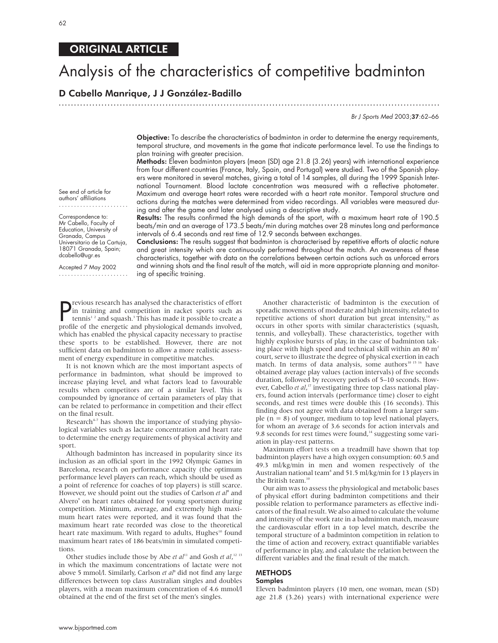# ORIGINAL ARTICLE

# Analysis of the characteristics of competitive badminton

# D Cabello Manrique, J J González-Badillo

.............................................................................................................................

Br J Sports Med 2003;37:62–66

Objective: To describe the characteristics of badminton in order to determine the energy requirements, temporal structure, and movements in the game that indicate performance level. To use the findings to plan training with greater precision.

Methods: Eleven badminton players (mean (SD) age 21.8 (3.26) years) with international experience from four different countries (France, Italy, Spain, and Portugal) were studied. Two of the Spanish players were monitored in several matches, giving a total of 14 samples, all during the 1999 Spanish International Tournament. Blood lactate concentration was measured with a reflective photometer. Maximum and average heart rates were recorded with a heart rate monitor. Temporal structure and actions during the matches were determined from video recordings. All variables were measured during and after the game and later analysed using a descriptive study.

See end of article for authors' affiliations .......................

Correspondence to: Mr Cabello, Faculty of Education, University of Granada, Campus Universitario de La Cartuja, 18071 Granada, Spain; dcabello@ugr.es

Accepted 7 May 2002 ....................... beats/min and an average of 173.5 beats/min during matches over 28 minutes long and performance intervals of 6.4 seconds and rest time of 12.9 seconds between exchanges. Conclusions: The results suggest that badminton is characterised by repetitive efforts of alactic nature and great intensity which are continuously performed throughout the match. An awareness of these

Results: The results confirmed the high demands of the sport, with a maximum heart rate of 190.5

characteristics, together with data on the correlations between certain actions such as unforced errors and winning shots and the final result of the match, will aid in more appropriate planning and monitoring of specific training.

**P** revious research has analysed the characteristics of effort<br>in training and competition in racket sports such as<br>tennis<sup>12</sup> and squash.<sup>3</sup> This has made it possible to create a<br>profile of the energetic and physiologica in training and competition in racket sports such as tennis<sup>12</sup> and squash.<sup>3</sup> This has made it possible to create a profile of the energetic and physiological demands involved, which has enabled the physical capacity necessary to practise these sports to be established. However, there are not sufficient data on badminton to allow a more realistic assessment of energy expenditure in competitive matches.

It is not known which are the most important aspects of performance in badminton, what should be improved to increase playing level, and what factors lead to favourable results when competitors are of a similar level. This is compounded by ignorance of certain parameters of play that can be related to performance in competition and their effect on the final result.

Research $4-7$  has shown the importance of studying physiological variables such as lactate concentration and heart rate to determine the energy requirements of physical activity and sport.

Although badminton has increased in popularity since its inclusion as an official sport in the 1992 Olympic Games in Barcelona, research on performance capacity (the optimum performance level players can reach, which should be used as a point of reference for coaches of top players) is still scarce. However, we should point out the studies of Carlson *et al*<sup>8</sup> and Alvero<sup>9</sup> on heart rates obtained for young sportsmen during competition. Minimum, average, and extremely high maximum heart rates were reported, and it was found that the maximum heart rate recorded was close to the theoretical heart rate maximum. With regard to adults, Hughes<sup>10</sup> found maximum heart rates of 186 beats/min in simulated competitions.

Other studies include those by Abe *et al*<sup>11</sup> and Gosh *et al*,<sup>12</sup> <sup>13</sup> in which the maximum concentrations of lactate were not above 5 mmol/l. Similarly, Carlson *et al*<sup>8</sup> did not find any large differences between top class Australian singles and doubles players, with a mean maximum concentration of 4.6 mmol/l obtained at the end of the first set of the men's singles.

Another characteristic of badminton is the execution of sporadic movements of moderate and high intensity, related to repetitive actions of short duration but great intensity, $14$  as occurs in other sports with similar characteristics (squash, tennis, and volleyball). These characteristics, together with highly explosive bursts of play, in the case of badminton taking place with high speed and technical skill within an 80  $m<sup>2</sup>$ court, serve to illustrate the degree of physical exertion in each match. In terms of data analysis, some authors<sup>10 15 16</sup> have obtained average play values (action intervals) of five seconds duration, followed by recovery periods of 5–10 seconds. However, Cabello *et al*, <sup>17</sup> investigating three top class national players, found action intervals (performance time) closer to eight seconds, and rest times were double this (16 seconds). This finding does not agree with data obtained from a larger sample  $(n = 8)$  of younger, medium to top level national players, for whom an average of 3.6 seconds for action intervals and 9.8 seconds for rest times were found, $14$  suggesting some variation in play-rest patterns.

Maximum effort tests on a treadmill have shown that top badminton players have a high oxygen consumption: 60.5 and 49.3 ml/kg/min in men and women respectively of the Australian national team<sup>8</sup> and 51.5 ml/kg/min for 13 players in the British team.<sup>10</sup>

Our aim was to assess the physiological and metabolic bases of physical effort during badminton competitions and their possible relation to performance parameters as effective indicators of the final result. We also aimed to calculate the volume and intensity of the work rate in a badminton match, measure the cardiovascular effort in a top level match, describe the temporal structure of a badminton competition in relation to the time of action and recovery, extract quantifiable variables of performance in play, and calculate the relation between the different variables and the final result of the match.

# **METHODS** Samples

Eleven badminton players (10 men, one woman, mean (SD) age 21.8 (3.26) years) with international experience were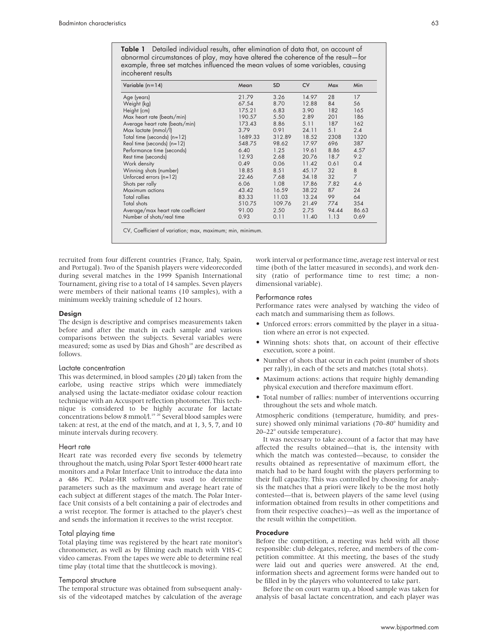incoherent results Variable (n=14) Mean SD CV Max Min Age (years) 21.79 3.26 14.97 28 17 Weight (kg) 67.54 8.70 12.88 84 56 Height (cm) 175.21 6.83 3.90 182 165 Max heart rate (beats/min) 190.57 5.50 2.89 201 186 Average heart rate (beats/min) 173.43 8.86 5.11 187 162<br>
Max lactate (mmol/l) 3.79 0.91 24.11 5.1 2.4 Max lactate (mmol/l) 3.79 0.91 24.11 5.1 2.4<br>Total time (seconds) (n=12) 1689.33 312.89 18.52 2308 1320 Total time (seconds) (n=12) 1689.33 312.89 18.52 2308 1320 Real time (seconds) (n=12)<br>  $548.75$  98.62 17.97 696 387<br>  $6.40$  1.25 19.61 8.86 4.57 Performance time (seconds) 6.40 1.25 19.61 8.86 4.57<br>
Rest time (seconds) 12.93 2.68 20.76 18.7 9.2 Rest time (seconds)<br>
Work density<br>
Work density<br>
2.049 2.006 11.42 0.61 0.4 Work density 0.49 0.06 11.42 0.61 0.4 Winning shots (number) 18.85 8.51 45.17 32 8<br>
Unforced errors (n=12) 22.46 7.68 34.18 32 7 Unforced errors (n=12) 22.46 7.68 34.18 32 7<br>Shots per rally 6.06 1.08 17.86 7.82 4.6 Shots per rally 1.08 1.08 1.08 7.82 4.6<br>
Maximum actions 1.08 43.42 16.59 38.22 87 24 Maximum actions 43.42 16.59 38.22 87 24 Total rallies 83.33 11.03 13.24 99 64 Total shots 510.75 109.76 21.49 774 354 Average/max heart rate coefficient 91.00 2.50 2.75 94.44 86.63 Number of shots/real time 0.93 0.11 11.40 1.13 0.69

Table 1 Detailed individual results, after elimination of data that, on account of abnormal circumstances of play, may have altered the coherence of the result—for example, three set matches influenced the mean values of some variables, causing

CV, Coefficient of variation; max, maximum; min, minimum.

recruited from four different countries (France, Italy, Spain, and Portugal). Two of the Spanish players were videorecorded during several matches in the 1999 Spanish International Tournament, giving rise to a total of 14 samples. Seven players were members of their national teams (10 samples), with a minimum weekly training schedule of 12 hours.

#### **Design**

The design is descriptive and comprises measurements taken before and after the match in each sample and various comparisons between the subjects. Several variables were measured; some as used by Dias and Ghosh<sup>18</sup> are described as follows.

#### Lactate concentration

This was determined, in blood samples (20 µl) taken from the earlobe, using reactive strips which were immediately analysed using the lactate-mediator oxidase colour reaction technique with an Accusport reflection photometer. This technique is considered to be highly accurate for lactate concentrations below 8 mmol/l.<sup>19 20</sup> Several blood samples were taken: at rest, at the end of the match, and at 1, 3, 5, 7, and 10 minute intervals during recovery.

#### Heart rate

Heart rate was recorded every five seconds by telemetry throughout the match, using Polar Sport Tester 4000 heart rate monitors and a Polar Interface Unit to introduce the data into a 486 PC. Polar-HR software was used to determine parameters such as the maximum and average heart rate of each subject at different stages of the match. The Polar Interface Unit consists of a belt containing a pair of electrodes and a wrist receptor. The former is attached to the player's chest and sends the information it receives to the wrist receptor.

#### Total playing time

Total playing time was registered by the heart rate monitor's chronometer, as well as by filming each match with VHS-C video cameras. From the tapes we were able to determine real time play (total time that the shuttlecock is moving).

### Temporal structure

The temporal structure was obtained from subsequent analysis of the videotaped matches by calculation of the average work interval or performance time, average rest interval or rest time (both of the latter measured in seconds), and work density (ratio of performance time to rest time; a nondimensional variable).

# Performance rates

Performance rates were analysed by watching the video of each match and summarising them as follows.

- Unforced errors: errors committed by the player in a situation where an error is not expected.
- Winning shots: shots that, on account of their effective execution, score a point.
- Number of shots that occur in each point (number of shots per rally), in each of the sets and matches (total shots).
- Maximum actions: actions that require highly demanding physical execution and therefore maximum effort.
- Total number of rallies: number of interventions occurring throughout the sets and whole match.

Atmospheric conditions (temperature, humidity, and pressure) showed only minimal variations (70–80° humidity and 20–22° outside temperature).

It was necessary to take account of a factor that may have affected the results obtained—that is, the intensity with which the match was contested—because, to consider the results obtained as representative of maximum effort, the match had to be hard fought with the players performing to their full capacity. This was controlled by choosing for analysis the matches that a priori were likely to be the most hotly contested—that is, between players of the same level (using information obtained from results in other competitions and from their respective coaches)—as well as the importance of the result within the competition.

#### Procedure

Before the competition, a meeting was held with all those responsible: club delegates, referee, and members of the competition committee. At this meeting, the bases of the study were laid out and queries were answered. At the end, information sheets and agreement forms were handed out to be filled in by the players who volunteered to take part.

Before the on court warm up, a blood sample was taken for analysis of basal lactate concentration, and each player was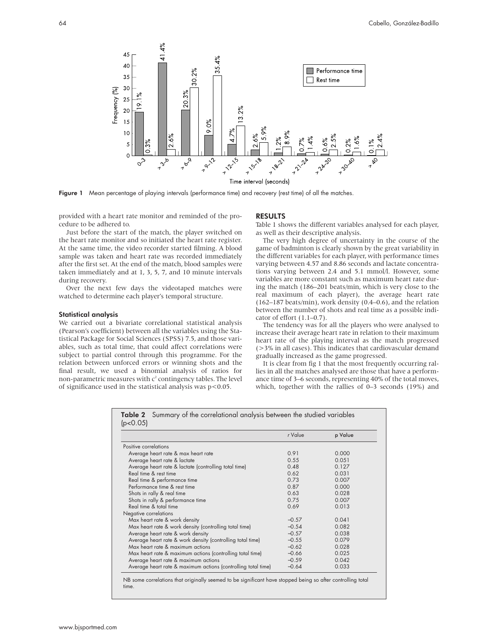

Figure 1 Mean percentage of playing intervals (performance time) and recovery (rest time) of all the matches.

provided with a heart rate monitor and reminded of the procedure to be adhered to.

Just before the start of the match, the player switched on the heart rate monitor and so initiated the heart rate register. At the same time, the video recorder started filming. A blood sample was taken and heart rate was recorded immediately after the first set. At the end of the match, blood samples were taken immediately and at 1, 3, 5, 7, and 10 minute intervals during recovery.

Over the next few days the videotaped matches were watched to determine each player's temporal structure.

#### Statistical analysis

We carried out a bivariate correlational statistical analysis (Pearson's coefficient) between all the variables using the Statistical Package for Social Sciences (SPSS) 7.5, and those variables, such as total time, that could affect correlations were subject to partial control through this programme. For the relation between unforced errors or winning shots and the final result, we used a binomial analysis of ratios for non-parametric measures with  $c<sup>2</sup>$  contingency tables. The level of significance used in the statistical analysis was p<0.05.

## RESULTS

Table 1 shows the different variables analysed for each player, as well as their descriptive analysis.

The very high degree of uncertainty in the course of the game of badminton is clearly shown by the great variability in the different variables for each player, with performance times varying between 4.57 and 8.86 seconds and lactate concentrations varying between 2.4 and 5.1 mmol/l. However, some variables are more constant such as maximum heart rate during the match (186–201 beats/min, which is very close to the real maximum of each player), the average heart rate (162–187 beats/min), work density (0.4–0.6), and the relation between the number of shots and real time as a possible indicator of effort (1.1–0.7).

The tendency was for all the players who were analysed to increase their average heart rate in relation to their maximum heart rate of the playing interval as the match progressed (>3% in all cases). This indicates that cardiovascular demand gradually increased as the game progressed.

It is clear from fig 1 that the most frequently occurring rallies in all the matches analysed are those that have a performance time of 3–6 seconds, representing 40% of the total moves, which, together with the rallies of 0–3 seconds (19%) and

|                                                               | r Value | p Value |
|---------------------------------------------------------------|---------|---------|
| Positive correlations                                         |         |         |
| Average heart rate & max heart rate                           | 0.91    | 0.000   |
| Average heart rate & lactate                                  | 0.55    | 0.051   |
| Average heart rate & lactate (controlling total time)         | 0.48    | 0.127   |
| Real time & rest time                                         | 0.62    | 0.031   |
| Real time & performance time                                  | 0.73    | 0.007   |
| Performance time & rest time                                  | 0.87    | 0.000   |
| Shots in rally & real time                                    | 0.63    | 0.028   |
| Shots in rally & performance time                             | 0.75    | 0.007   |
| Real time & total time                                        | 0.69    | 0.013   |
| Negative correlations                                         |         |         |
| Max heart rate & work density                                 | $-0.57$ | 0.041   |
| Max heart rate & work density (controlling total time)        | $-0.54$ | 0.082   |
| Average heart rate & work density                             | $-0.57$ | 0.038   |
| Average heart rate & work density (controlling total time)    | $-0.55$ | 0.079   |
| Max heart rate & maximum actions                              | $-0.62$ | 0.028   |
| Max heart rate & maximum actions (controlling total time)     | $-0.66$ | 0.025   |
| Average heart rate & maximum actions                          | $-0.59$ | 0.042   |
| Average heart rate & maximum actions (controlling total time) | $-0.64$ | 0.033   |

Table 2 Summary of the correlational analysis between the studied variables

tions that originally seemed to be significant have stopped being so after controlling total time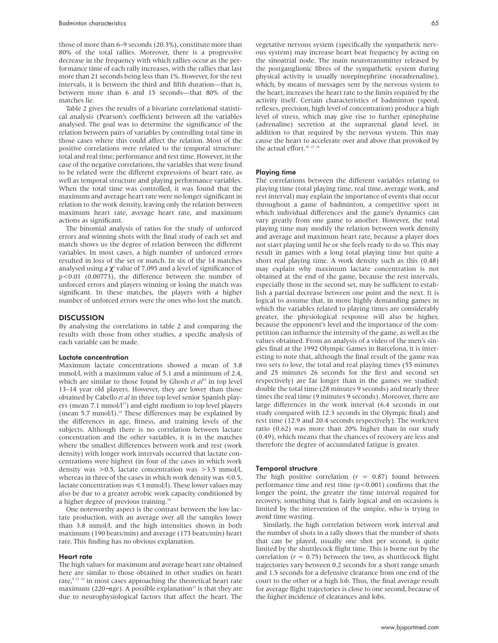those of more than 6–9 seconds (20.3%), constitute more than 80% of the total rallies. Moreover, there is a progressive decrease in the frequency with which rallies occur as the performance time of each rally increases, with the rallies that last more than 21 seconds being less than 1%. However, for the rest intervals, it is between the third and fifth duration—that is, between more than 6 and 15 seconds—that 80% of the matches lie.

Table 2 gives the results of a bivariate correlational statistical analysis (Pearson's coefficient) between all the variables analysed. The goal was to determine the significance of the relation between pairs of variables by controlling total time in those cases where this could affect the relation. Most of the positive correlations were related to the temporal structure: total and real time; performance and rest time. However, in the case of the negative correlations, the variables that were found to be related were the different expressions of heart rate, as well as temporal structure and playing performance variables. When the total time was controlled, it was found that the maximum and average heart rate were no longer significant in relation to the work density, leaving only the relation between maximum heart rate, average heart rate, and maximum actions as significant.

The binomial analysis of ratios for the study of unforced errors and winning shots with the final study of each set and match shows us the degree of relation between the different variables. In most cases, a high number of unforced errors resulted in loss of the set or match. In six of the 14 matches analysed using a  $\chi^2$  value of 7.095 and a level of significance of p<0.01 (0.00773), the difference between the number of unforced errors and players winning or losing the match was significant. In these matches, the players with a higher number of unforced errors were the ones who lost the match.

# **DISCUSSION**

By analysing the correlations in table 2 and comparing the results with those from other studies, a specific analysis of each variable can be made.

### Lactate concentration

Maximum lactate concentrations showed a mean of 3.8 mmol/l, with a maximum value of 5.1 and a minimum of 2.4, which are similar to those found by Ghosh *et al*<sup>12</sup> in top level 13–14 year old players. However, they are lower than those obtained by Cabello *et al* in three top level senior Spanish players (mean 7.1 mmol $/117$ ) and eight medium to top level players (mean 5.7 mmol/l).<sup>14</sup> These differences may be explained by the differences in age, fitness, and training levels of the subjects. Although there is no correlation between lactate concentration and the other variables, it is in the matches where the smallest differences between work and rest (work density) with longer work intervals occurred that lactate concentrations were highest (in four of the cases in which work density was >0.5, lactate concentration was >3.5 mmol/l, whereas in three of the cases in which work density was  $\leq 0.5$ , lactate concentration was  $\leq$ 3 mmol $\Lambda$ ). These lower values may also be due to a greater aerobic work capacity conditioned by a higher degree of previous training.<sup>10</sup>

One noteworthy aspect is the contrast between the low lactate production, with an average over all the samples lower than 3.8 mmol/l, and the high intensities shown in both maximum (190 beats/min) and average (173 beats/min) heart rate. This finding has no obvious explanation.

#### Heart rate

The high values for maximum and average heart rate obtained here are similar to those obtained in other studies on heart rate, $9^{11}$  12 in most cases approaching the theoretical heart rate maximum (220–age). A possible explanation<sup>21</sup> is that they are due to neurophysiological factors that affect the heart. The

vegetative nervous system (specifically the sympathetic nervous system) may increase heart beat frequency by acting on the sinoatrial node. The main neurotransmitter released by the postganglionic fibres of the sympathetic system during physical activity is usually norepinephrine (noradrenaline), which, by means of messages sent by the nervous system to the heart, increases the heart rate to the limits required by the activity itself. Certain characteristics of badminton (speed, reflexes, precision, high level of concentration) produce a high level of stress, which may give rise to further epinephrine (adrenaline) secretion at the suprarenal gland level, in addition to that required by the nervous system. This may cause the heart to accelerate over and above that provoked by the actual effort.<sup>10 15 16</sup>

# Playing time

The correlations between the different variables relating to playing time (total playing time, real time, average work, and rest interval) may explain the importance of events that occur throughout a game of badminton, a competitive sport in which individual differences and the game's dynamics can vary greatly from one game to another. However, the total playing time may modify the relation between work density and average and maximum heart rate, because a player does not start playing until he or she feels ready to do so. This may result in games with a long total playing time but quite a short real playing time. A work density such as this (0.48) may explain why maximum lactate concentration is not obtained at the end of the game, because the rest intervals, especially those in the second set, may be sufficient to establish a partial decrease between one point and the next. It is logical to assume that, in more highly demanding games in which the variables related to playing times are considerably greater, the physiological response will also be higher, because the opponent's level and the importance of the competition can influence the intensity of the game, as well as the values obtained. From an analysis of a video of the men's singles final at the 1992 Olympic Games in Barcelona, it is interesting to note that, although the final result of the game was two sets to love, the total and real playing times (55 minutes and 25 minutes 26 seconds for the first and second set respectively) are far longer than in the games we studied: double the total time (28 minutes 9 seconds) and nearly three times the real time (9 minutes 9 seconds). Moreover, there are large differences in the work interval (6.4 seconds in our study compared with 12.3 seconds in the Olympic final) and rest time (12.9 and 20.4 seconds respectively). The work/rest ratio (0.62) was more than 20% higher than in our study (0.49), which means that the chances of recovery are less and therefore the degree of accumulated fatigue is greater.

#### Temporal structure

The high positive correlation  $(r = 0.87)$  found between performance time and rest time (p<0.001) confirms that the longer the point, the greater the time interval required for recovery, something that is fairly logical and on occasions is limited by the intervention of the umpire, who is trying to avoid time wasting.

Similarly, the high correlation between work interval and the number of shots in a rally shows that the number of shots that can be played, usually one shot per second, is quite limited by the shuttlecock flight time. This is borne out by the correlation  $(r = 0.75)$  between the two, as shuttlecock flight trajectories vary between 0.2 seconds for a short range smash and 1.5 seconds for a defensive clearance from one end of the court to the other or a high lob. Thus, the final average result for average flight trajectories is close to one second, because of the higher incidence of clearances and lobs.